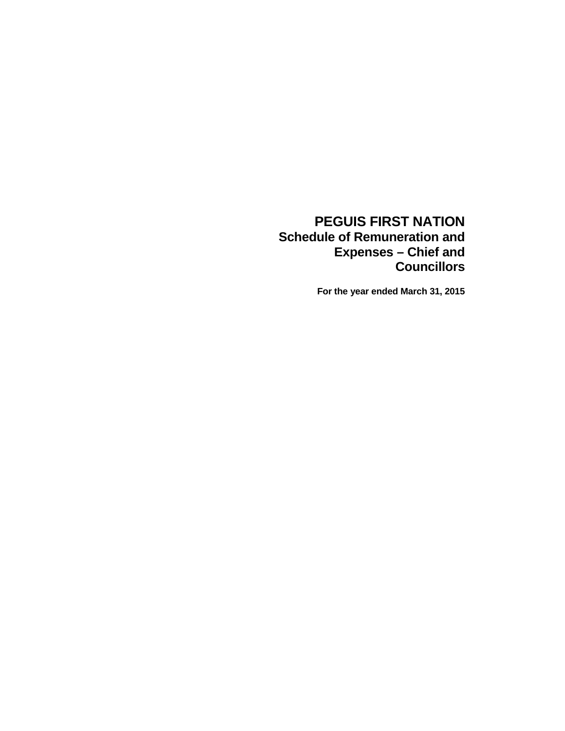### **PEGUIS FIRST NATION Schedule of Remuneration and Expenses – Chief and Councillors**

**For the year ended March 31, 2015**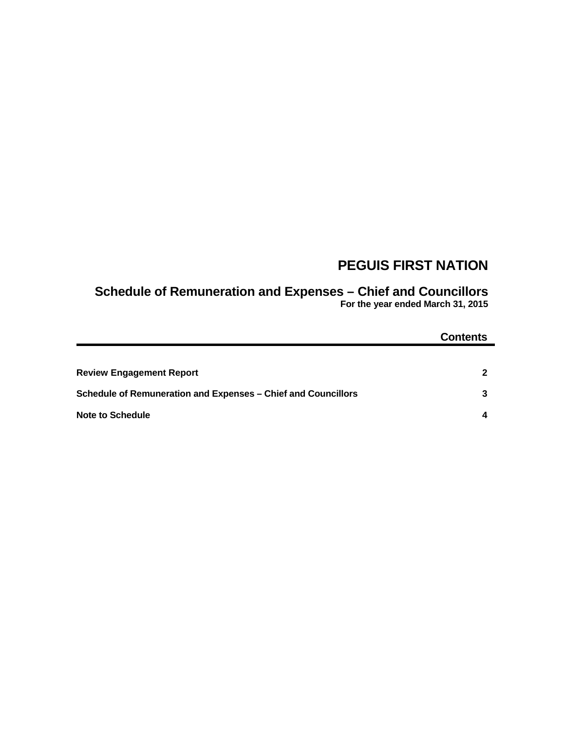## **PEGUIS FIRST NATION**

# **Schedule of Remuneration and Expenses – Chief and Councillors**

**For the year ended March 31, 2015**

|                                                               | <b>Contents</b> |
|---------------------------------------------------------------|-----------------|
|                                                               |                 |
| <b>Review Engagement Report</b>                               | $\overline{2}$  |
| Schedule of Remuneration and Expenses - Chief and Councillors | 3               |
| <b>Note to Schedule</b>                                       | 4               |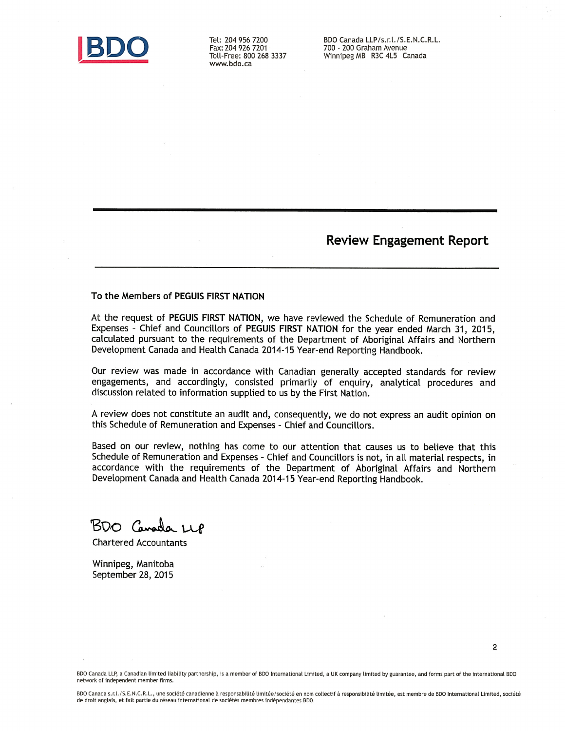

Tel: 204 956 7200 Fax: 204 926 7201 Toll-Free: 800 268 3337 www.bdo.ca

BDO Canada LLP/s.r.l./S.E.N.C.R.L. 700 - 200 Graham Avenue Winnipeg MB R3C 4L5 Canada

**Review Engagement Report** 

#### To the Members of PEGUIS FIRST NATION

At the request of PEGUIS FIRST NATION, we have reviewed the Schedule of Remuneration and Expenses - Chief and Councillors of PEGUIS FIRST NATION for the year ended March 31, 2015, calculated pursuant to the requirements of the Department of Aboriginal Affairs and Northern Development Canada and Health Canada 2014-15 Year-end Reporting Handbook.

Our review was made in accordance with Canadian generally accepted standards for review engagements, and accordingly, consisted primarily of enquiry, analytical procedures and discussion related to information supplied to us by the First Nation.

A review does not constitute an audit and, consequently, we do not express an audit opinion on this Schedule of Remuneration and Expenses - Chief and Councillors.

Based on our review, nothing has come to our attention that causes us to believe that this Schedule of Remuneration and Expenses - Chief and Councillors is not, in all material respects, in accordance with the requirements of the Department of Aboriginal Affairs and Northern Development Canada and Health Canada 2014-15 Year-end Reporting Handbook.

BDO Canada LLP

**Chartered Accountants** 

Winnipeg, Manitoba September 28, 2015

BDO Canada LLP, a Canadian limited liability partnership, is a member of BDO International Limited, a UK company limited by guarantee, and forms part of the international BDO network of independent member firms.

BDO Canada s.r.l./S.E.N.C.R.L., une société canadienne à responsabilité limitée/société en nom collectif à responsibilité limitée, est membre de BDO International Limited, société de droit anglais, et fait partie du réseau international de sociétés membres indépendantes BDO.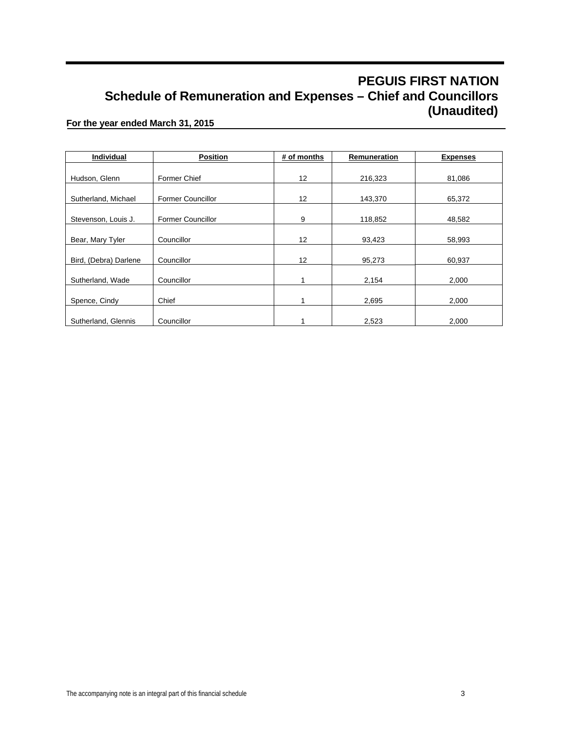### **PEGUIS FIRST NATION Schedule of Remuneration and Expenses – Chief and Councillors (Unaudited)**

#### **For the year ended March 31, 2015**

| Individual            | <b>Position</b>          | # of months | Remuneration | <b>Expenses</b> |
|-----------------------|--------------------------|-------------|--------------|-----------------|
|                       |                          |             |              |                 |
| Hudson, Glenn         | Former Chief             | 12          | 216,323      | 81,086          |
|                       |                          |             |              |                 |
| Sutherland, Michael   | <b>Former Councillor</b> | 12          | 143,370      | 65,372          |
|                       |                          |             |              |                 |
| Stevenson, Louis J.   | <b>Former Councillor</b> | 9           | 118,852      | 48,582          |
|                       |                          |             |              |                 |
| Bear, Mary Tyler      | Councillor               | 12          | 93,423       | 58,993          |
|                       |                          |             |              |                 |
| Bird, (Debra) Darlene | Councillor               | 12          | 95,273       | 60,937          |
|                       |                          |             |              |                 |
| Sutherland, Wade      | Councillor               | 1           | 2,154        | 2,000           |
|                       |                          |             |              |                 |
| Spence, Cindy         | Chief                    |             | 2,695        | 2,000           |
|                       |                          |             |              |                 |
| Sutherland, Glennis   | Councillor               |             | 2,523        | 2,000           |